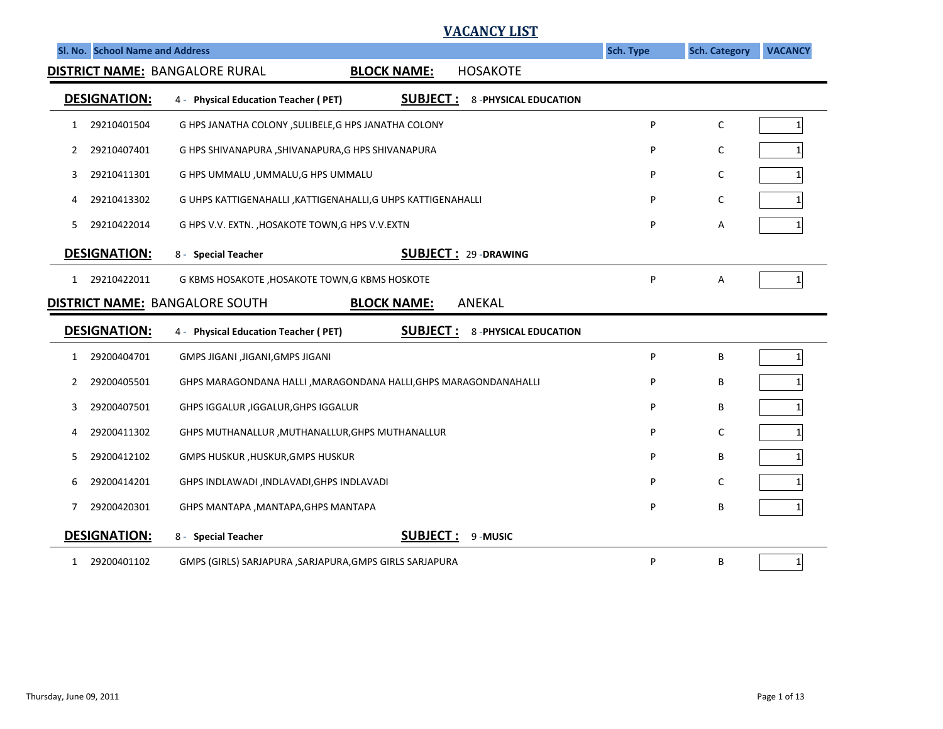|                                 | <u>VACANCY LIST</u>                                                                    |           |                      |                 |
|---------------------------------|----------------------------------------------------------------------------------------|-----------|----------------------|-----------------|
| Sl. No. School Name and Address |                                                                                        | Sch. Type | <b>Sch. Category</b> | <b>VACANCY</b>  |
|                                 | DISTRICT NAME: BANGALORE RURAL<br><b>HOSAKOTE</b><br><b>BLOCK NAME:</b>                |           |                      |                 |
| <b>DESIGNATION:</b>             | <b>SUBJECT:</b><br><b>8-PHYSICAL EDUCATION</b><br>4 - Physical Education Teacher (PET) |           |                      |                 |
| 29210401504<br>1                | G HPS JANATHA COLONY, SULIBELE, G HPS JANATHA COLONY                                   | P         | C                    | $\mathbf{1}$    |
| 29210407401<br>2                | G HPS SHIVANAPURA , SHIVANAPURA, G HPS SHIVANAPURA                                     | P         | C                    | $\mathbf{1}$    |
| 29210411301<br>3                | G HPS UMMALU , UMMALU, G HPS UMMALU                                                    | P         | С                    | 1               |
| 29210413302<br>4                | G UHPS KATTIGENAHALLI , KATTIGENAHALLI, G UHPS KATTIGENAHALLI                          | P         | С                    |                 |
| 29210422014<br>5                | G HPS V.V. EXTN., HOSAKOTE TOWN, G HPS V.V. EXTN                                       | P         | А                    |                 |
| <b>DESIGNATION:</b>             | <b>SUBJECT: 29-DRAWING</b><br>8 - Special Teacher                                      |           |                      |                 |
| 29210422011<br>1                | G KBMS HOSAKOTE, HOSAKOTE TOWN, G KBMS HOSKOTE                                         | P         | А                    | $\mathbf{1}$    |
|                                 | <b>DISTRICT NAME: BANGALORE SOUTH</b><br><b>BLOCK NAME:</b><br><b>ANEKAL</b>           |           |                      |                 |
| <b>DESIGNATION:</b>             | <b>SUBJECT:</b><br><b>8-PHYSICAL EDUCATION</b><br>4 - Physical Education Teacher (PET) |           |                      |                 |
| 29200404701<br>1                | GMPS JIGANI ,JIGANI,GMPS JIGANI                                                        | P         | В                    | $\mathbf{1}$    |
| 29200405501<br>2                | GHPS MARAGONDANA HALLI , MARAGONDANA HALLI, GHPS MARAGONDANAHALLI                      | P         | В                    | $\mathbf{1}$    |
| 29200407501<br>3                | GHPS IGGALUR, IGGALUR, GHPS IGGALUR                                                    | P         | В                    | 1               |
| 29200411302<br>4                | GHPS MUTHANALLUR, MUTHANALLUR, GHPS MUTHANALLUR                                        | P         | С                    | 1               |
| 29200412102<br>5                | GMPS HUSKUR, HUSKUR, GMPS HUSKUR                                                       | P         | В                    |                 |
| 29200414201<br>6                | GHPS INDLAWADI , INDLAVADI, GHPS INDLAVADI                                             | P         | С                    | 1               |
| 29200420301<br>7                | GHPS MANTAPA , MANTAPA, GHPS MANTAPA                                                   | P         | B                    | 1               |
| <b>DESIGNATION:</b>             | <b>SUBJECT:</b><br>9-MUSIC<br>8 - Special Teacher                                      |           |                      |                 |
| 29200401102<br>1                | GMPS (GIRLS) SARJAPURA , SARJAPURA, GMPS GIRLS SARJAPURA                               | P         | В                    | $1\overline{ }$ |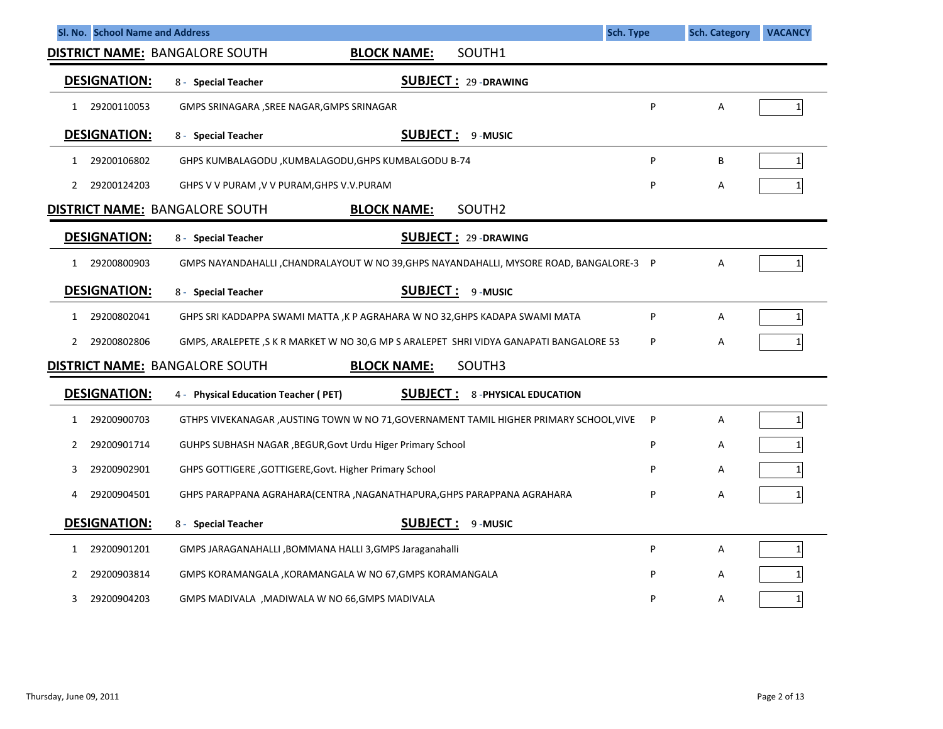| Sl. No. School Name and Address       |                                                                                         | <b>Sch. Type</b> | <b>Sch. Category</b> | <b>VACANCY</b> |
|---------------------------------------|-----------------------------------------------------------------------------------------|------------------|----------------------|----------------|
| <b>DISTRICT NAME: BANGALORE SOUTH</b> | SOUTH1<br><b>BLOCK NAME:</b>                                                            |                  |                      |                |
| <b>DESIGNATION:</b>                   | <b>SUBJECT: 29-DRAWING</b><br>8 - Special Teacher                                       |                  |                      |                |
| 29200110053<br>1                      | GMPS SRINAGARA , SREE NAGAR, GMPS SRINAGAR                                              | P                | Α                    | $\mathbf{1}$   |
| <b>DESIGNATION:</b>                   | <b>SUBJECT:</b><br>9-MUSIC<br>8 - Special Teacher                                       |                  |                      |                |
| 29200106802<br>1                      | GHPS KUMBALAGODU, KUMBALAGODU, GHPS KUMBALGODU B-74                                     | P                | B                    | 1              |
| 29200124203<br>2                      | GHPS V V PURAM, V V PURAM, GHPS V.V. PURAM                                              | P                | Α                    |                |
| <b>DISTRICT NAME: BANGALORE SOUTH</b> | <b>BLOCK NAME:</b><br>SOUTH <sub>2</sub>                                                |                  |                      |                |
| <b>DESIGNATION:</b>                   | <b>SUBJECT: 29-DRAWING</b><br>8 - Special Teacher                                       |                  |                      |                |
| 29200800903<br>$\mathbf{1}$           | GMPS NAYANDAHALLI, CHANDRALAYOUT W NO 39, GHPS NAYANDAHALLI, MYSORE ROAD, BANGALORE-3 P |                  | A                    | $1\vert$       |
| <b>DESIGNATION:</b>                   | <b>SUBJECT:</b><br>9-MUSIC<br>8 - Special Teacher                                       |                  |                      |                |
| 29200802041<br>1                      | GHPS SRI KADDAPPA SWAMI MATTA , K P AGRAHARA W NO 32, GHPS KADAPA SWAMI MATA            | P                | Α                    | 1              |
| 29200802806<br>2                      | GMPS, ARALEPETE, S K R MARKET W NO 30,G MP S ARALEPET SHRI VIDYA GANAPATI BANGALORE 53  | P                | А                    | 1              |
| <b>DISTRICT NAME: BANGALORE SOUTH</b> | <b>BLOCK NAME:</b><br>SOUTH3                                                            |                  |                      |                |
| <b>DESIGNATION:</b>                   | <u>SUBJECT :</u><br>4 - Physical Education Teacher (PET)<br><b>8-PHYSICAL EDUCATION</b> |                  |                      |                |
| 29200900703<br>1                      | GTHPS VIVEKANAGAR, AUSTING TOWN W NO 71, GOVERNAMENT TAMIL HIGHER PRIMARY SCHOOL, VIVE  | P                | Α                    | 1              |
| 29200901714<br>2                      | GUHPS SUBHASH NAGAR, BEGUR, Govt Urdu Higer Primary School                              | P                | А                    |                |
| 29200902901<br>3                      | GHPS GOTTIGERE, GOTTIGERE, Govt. Higher Primary School                                  | P                | А                    |                |
| 29200904501<br>4                      | GHPS PARAPPANA AGRAHARA(CENTRA, NAGANATHAPURA, GHPS PARAPPANA AGRAHARA                  | P                | А                    |                |
| <b>DESIGNATION:</b>                   | <b>SUBJECT:</b><br>9-MUSIC<br>8 - Special Teacher                                       |                  |                      |                |
| 29200901201<br>1                      | GMPS JARAGANAHALLI ,BOMMANA HALLI 3,GMPS Jaraganahalli                                  | P                | Α                    | $\mathbf{1}$   |
| 29200903814<br>2                      | GMPS KORAMANGALA, KORAMANGALA W NO 67,GMPS KORAMANGALA                                  | P                | А                    | 1              |
| 29200904203<br>3                      | GMPS MADIVALA, MADIWALA W NO 66,GMPS MADIVALA                                           | P                | А                    | $\mathbf{1}$   |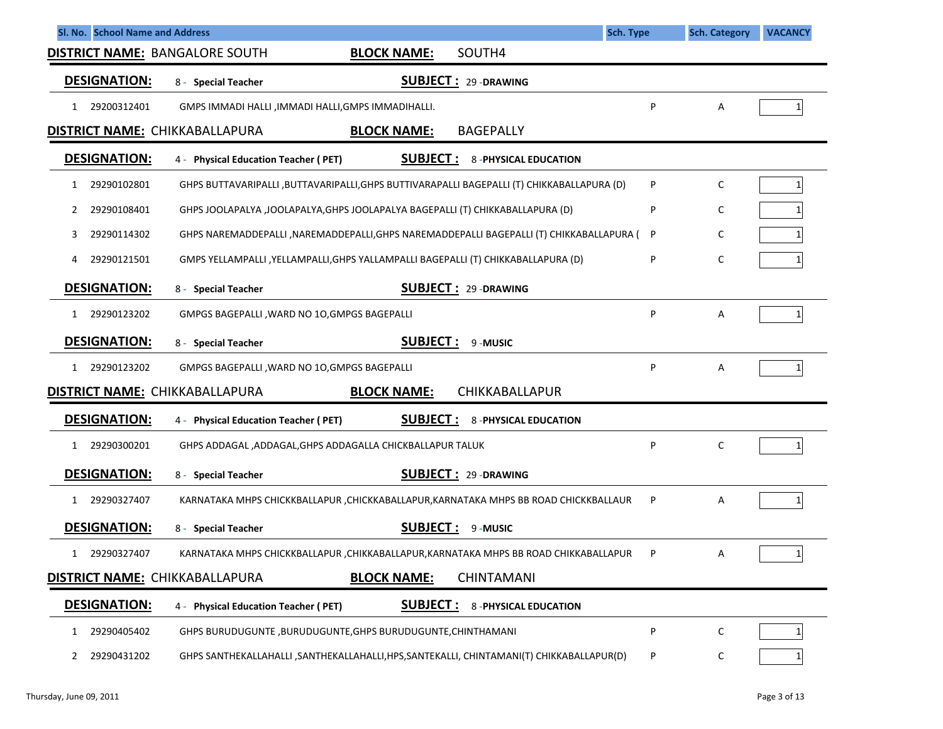| Sl. No. School Name and Address<br><b>Sch. Type</b>                                                              |   | <b>Sch. Category</b> | <b>VACANCY</b> |
|------------------------------------------------------------------------------------------------------------------|---|----------------------|----------------|
| SOUTH4<br><b>DISTRICT NAME: BANGALORE SOUTH</b><br><b>BLOCK NAME:</b>                                            |   |                      |                |
| <b>DESIGNATION:</b><br><b>SUBJECT: 29-DRAWING</b><br>8 - Special Teacher                                         |   |                      |                |
| 29200312401<br>GMPS IMMADI HALLI , IMMADI HALLI, GMPS IMMADIHALLI.<br>1                                          | P | Α                    |                |
| <b>DISTRICT NAME: CHIKKABALLAPURA</b><br><b>BAGEPALLY</b><br><b>BLOCK NAME:</b>                                  |   |                      |                |
| <b>DESIGNATION:</b><br><b>SUBJECT:</b><br>4 - Physical Education Teacher (PET)<br><b>8-PHYSICAL EDUCATION</b>    |   |                      |                |
| GHPS BUTTAVARIPALLI , BUTTAVARIPALLI, GHPS BUTTIVARAPALLI BAGEPALLI (T) CHIKKABALLAPURA (D)<br>29290102801<br>1  | P | C                    | 11             |
| 29290108401<br>GHPS JOOLAPALYA, JOOLAPALYA, GHPS JOOLAPALYA BAGEPALLI (T) CHIKKABALLAPURA (D)<br>2               | P | C                    |                |
| GHPS NAREMADDEPALLI , NAREMADDEPALLI, GHPS NAREMADDEPALLI BAGEPALLI (T) CHIKKABALLAPURA (<br>29290114302<br>3    | P | C                    |                |
| GMPS YELLAMPALLI, YELLAMPALLI, GHPS YALLAMPALLI BAGEPALLI (T) CHIKKABALLAPURA (D)<br>29290121501<br>4            | P | C                    |                |
| <b>DESIGNATION:</b><br><b>SUBJECT: 29-DRAWING</b><br>8 - Special Teacher                                         |   |                      |                |
| 29290123202<br>GMPGS BAGEPALLI, WARD NO 10, GMPGS BAGEPALLI<br>1                                                 | P | Α                    |                |
| <b>DESIGNATION:</b><br><b>SUBJECT:</b><br>9-MUSIC<br>8 - Special Teacher                                         |   |                      |                |
| 29290123202<br>GMPGS BAGEPALLI, WARD NO 10, GMPGS BAGEPALLI<br>1                                                 | P | Α                    |                |
| <b>DISTRICT NAME: CHIKKABALLAPURA</b><br>CHIKKABALLAPUR<br><b>BLOCK NAME:</b>                                    |   |                      |                |
| <b>DESIGNATION:</b><br><b>SUBJECT:</b><br><b>8-PHYSICAL EDUCATION</b><br>4 - Physical Education Teacher (PET)    |   |                      |                |
| 29290300201<br>GHPS ADDAGAL, ADDAGAL, GHPS ADDAGALLA CHICKBALLAPUR TALUK<br>1                                    | P | C                    |                |
| <b>DESIGNATION:</b><br><b>SUBJECT: 29-DRAWING</b><br>8 - Special Teacher                                         |   |                      |                |
| 29290327407<br>KARNATAKA MHPS CHICKKBALLAPUR , CHICKKABALLAPUR, KARNATAKA MHPS BB ROAD CHICKKBALLAUR<br>1        | P | Α                    |                |
| <b>DESIGNATION:</b><br><b>SUBJECT:</b><br>8 - Special Teacher<br>9-MUSIC                                         |   |                      |                |
| 29290327407<br>KARNATAKA MHPS CHICKKBALLAPUR, CHIKKABALLAPUR, KARNATAKA MHPS BB ROAD CHIKKABALLAPUR              |   | Α                    | $1\vert$       |
| <b>DISTRICT NAME: CHIKKABALLAPURA</b><br><b>BLOCK NAME:</b><br><b>CHINTAMANI</b>                                 |   |                      |                |
| <b>DESIGNATION:</b><br><u>SUBJECT :</u><br><b>8 - PHYSICAL EDUCATION</b><br>4 - Physical Education Teacher (PET) |   |                      |                |
| 29290405402<br>GHPS BURUDUGUNTE , BURUDUGUNTE, GHPS BURUDUGUNTE, CHINTHAMANI<br>1                                | P | C                    |                |
| GHPS SANTHEKALLAHALLI , SANTHEKALLAHALLI, HPS, SANTEKALLI, CHINTAMANI(T) CHIKKABALLAPUR(D)<br>29290431202<br>2   | P | C                    |                |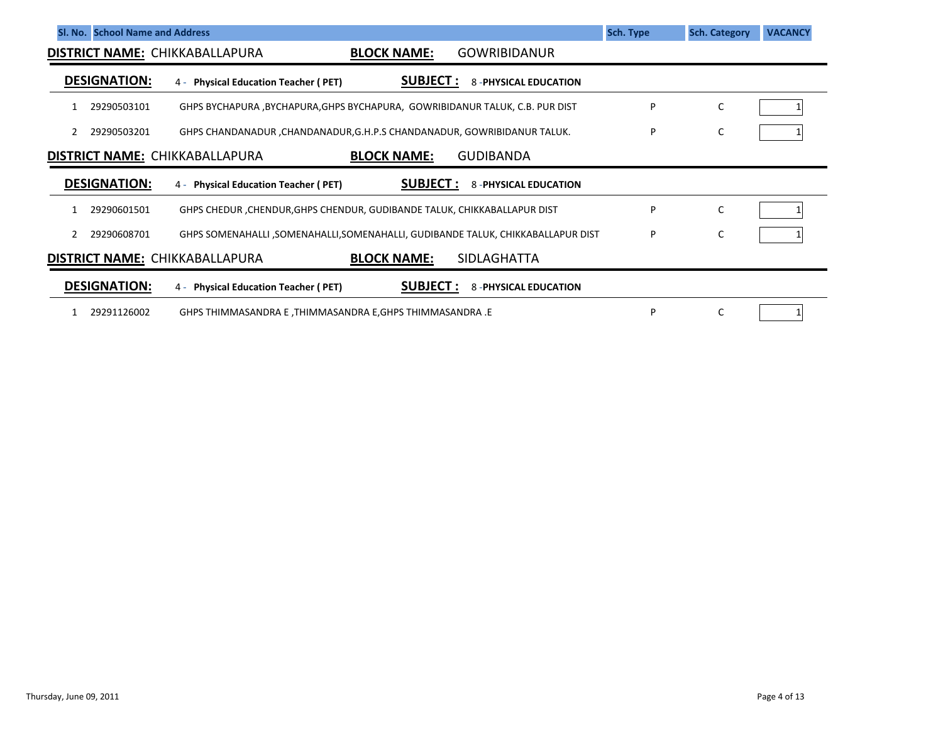| SI. No. School Name and Address                                                                                | Sch. Type | <b>Sch. Category</b> | <b>VACANCY</b> |  |  |  |  |
|----------------------------------------------------------------------------------------------------------------|-----------|----------------------|----------------|--|--|--|--|
| <b>BLOCK NAME:</b><br><b>GOWRIBIDANUR</b><br><b>DISTRICT NAME: CHIKKABALLAPURA</b>                             |           |                      |                |  |  |  |  |
| <b>DESIGNATION:</b><br><b>SUBJECT :</b><br>4 - Physical Education Teacher (PET)<br><b>8-PHYSICAL EDUCATION</b> |           |                      |                |  |  |  |  |
| 29290503101<br>GHPS BYCHAPURA, BYCHAPURA, GHPS BYCHAPURA, GOWRIBIDANUR TALUK, C.B. PUR DIST                    | P         | C                    |                |  |  |  |  |
| GHPS CHANDANADUR, CHANDANADUR, G.H.P.S CHANDANADUR, GOWRIBIDANUR TALUK.<br>29290503201                         | P         | C                    |                |  |  |  |  |
| <b>DISTRICT NAME: CHIKKABALLAPURA</b><br><b>BLOCK NAME:</b><br><b>GUDIBANDA</b>                                |           |                      |                |  |  |  |  |
| <b>DESIGNATION:</b><br><b>SUBJECT:</b><br>4 - Physical Education Teacher (PET)<br><b>8-PHYSICAL EDUCATION</b>  |           |                      |                |  |  |  |  |
| GHPS CHEDUR, CHENDUR, GHPS CHENDUR, GUDIBANDE TALUK, CHIKKABALLAPUR DIST<br>29290601501                        | P         | C                    |                |  |  |  |  |
| GHPS SOMENAHALLI, SOMENAHALLI, SOMENAHALLI, GUDIBANDE TALUK, CHIKKABALLAPUR DIST<br>29290608701                | P         | C                    |                |  |  |  |  |
| <b>SIDLAGHATTA</b><br><b>DISTRICT NAME: CHIKKABALLAPURA</b><br><b>BLOCK NAME:</b>                              |           |                      |                |  |  |  |  |
| <b>DESIGNATION:</b><br><b>SUBJECT :</b><br><b>8-PHYSICAL EDUCATION</b><br>4 - Physical Education Teacher (PET) |           |                      |                |  |  |  |  |
| 29291126002<br>GHPS THIMMASANDRA E, THIMMASANDRA E, GHPS THIMMASANDRA .E                                       | P         | C                    |                |  |  |  |  |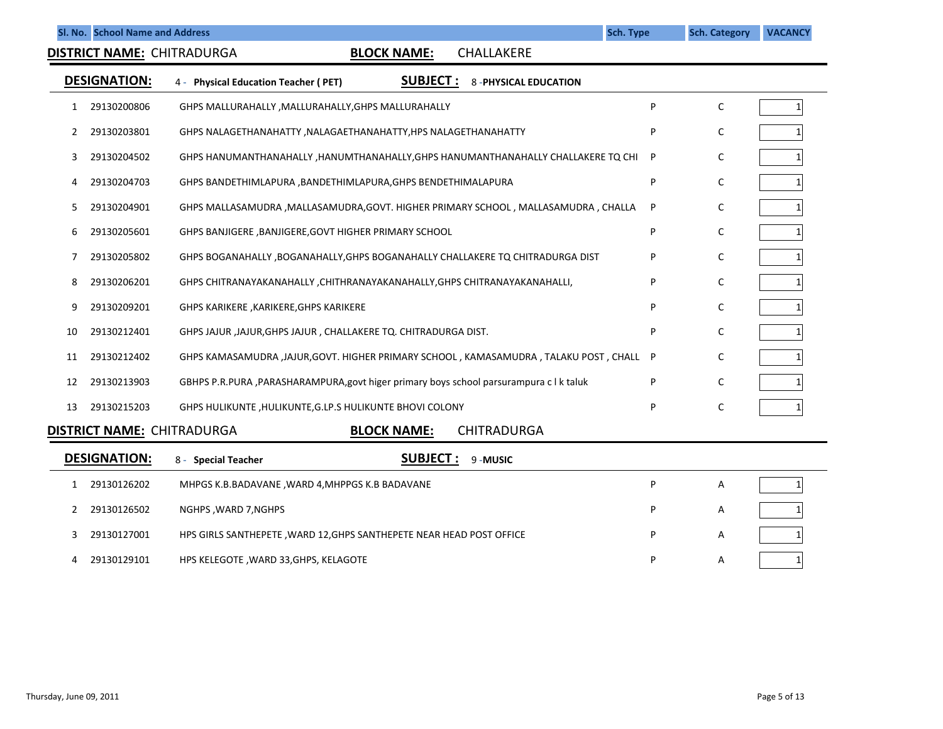**DISTRICT NAME:** CHITRADURGA

## **BLOCK NAME:** CHALLAKERE

|    | <b>DESIGNATION:</b>               | <b>SUBJECT :</b><br>4 - Physical Education Teacher (PET)<br><b>8-PHYSICAL EDUCATION</b> |   |   |  |
|----|-----------------------------------|-----------------------------------------------------------------------------------------|---|---|--|
|    | 29130200806                       | GHPS MALLURAHALLY, MALLURAHALLY, GHPS MALLURAHALLY                                      | P | C |  |
|    | 29130203801                       | GHPS NALAGETHANAHATTY, NALAGAETHANAHATTY, HPS NALAGETHANAHATTY                          | P | C |  |
| 3  | 29130204502                       | GHPS HANUMANTHANAHALLY , HANUMTHANAHALLY, GHPS HANUMANTHANAHALLY CHALLAKERE TQ CHI      | P | C |  |
|    | 29130204703                       | GHPS BANDETHIMLAPURA , BANDETHIMLAPURA, GHPS BENDETHIMALAPURA                           | P | C |  |
| 5. | 29130204901                       | GHPS MALLASAMUDRA , MALLASAMUDRA, GOVT. HIGHER PRIMARY SCHOOL, MALLASAMUDRA, CHALLA     | P | C |  |
| 6  | 29130205601                       | GHPS BANJIGERE, BANJIGERE, GOVT HIGHER PRIMARY SCHOOL                                   | P | C |  |
|    | 29130205802                       | GHPS BOGANAHALLY, BOGANAHALLY, GHPS BOGANAHALLY CHALLAKERE TQ CHITRADURGA DIST          | P | C |  |
| 8  | 29130206201                       | GHPS CHITRANAYAKANAHALLY, CHITHRANAYAKANAHALLY, GHPS CHITRANAYAKANAHALLI,               | P | C |  |
| 9  | 29130209201                       | GHPS KARIKERE , KARIKERE, GHPS KARIKERE                                                 | P | C |  |
| 10 | 29130212401                       | GHPS JAJUR, JAJUR, GHPS JAJUR, CHALLAKERE TO. CHITRADURGA DIST.                         | P | C |  |
| 11 | 29130212402                       | GHPS KAMASAMUDRA ,JAJUR,GOVT. HIGHER PRIMARY SCHOOL, KAMASAMUDRA, TALAKU POST, CHALL    | P | C |  |
| 12 | 29130213903                       | GBHPS P.R.PURA, PARASHARAMPURA, govt higer primary boys school parsurampura c   k taluk | P | C |  |
| 13 | 29130215203                       | GHPS HULIKUNTE, HULIKUNTE, G.LP.S HULIKUNTE BHOVI COLONY                                | P | C |  |
|    | <b>DISTRICT NAME: CHITRADURGA</b> | <b>BLOCK NAME:</b><br><b>CHITRADURGA</b>                                                |   |   |  |
|    | <b>DESIGNATION:</b>               | <b>SUBJECT:</b><br>9-MUSIC<br><b>Special Teacher</b><br>8 -                             |   |   |  |

| ULJIVIIAI IVII. | $\Omega$ =<br>SUCLIAI I CALIICI<br>JUUJLLI .<br>J-MUJIL              |   |   |  |
|-----------------|----------------------------------------------------------------------|---|---|--|
| 29130126202     | MHPGS K.B.BADAVANE, WARD 4, MHPPGS K.B BADAVANE                      | D | A |  |
| 29130126502     | NGHPS , WARD 7, NGHPS                                                | P | A |  |
| 29130127001     | HPS GIRLS SANTHEPETE, WARD 12, GHPS SANTHEPETE NEAR HEAD POST OFFICE | D | A |  |
| 29130129101     | HPS KELEGOTE , WARD 33, GHPS, KELAGOTE                               | D | A |  |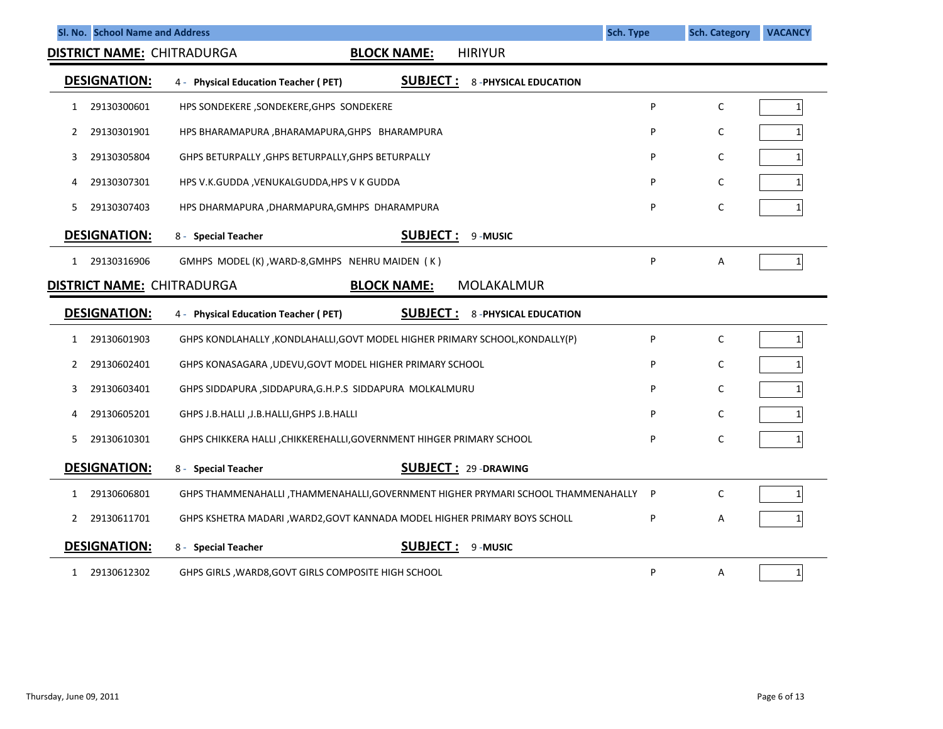|              | Sl. No. School Name and Address |                                                                                         | <b>Sch. Type</b> | <b>Sch. Category</b> | <b>VACANCY</b> |
|--------------|---------------------------------|-----------------------------------------------------------------------------------------|------------------|----------------------|----------------|
|              |                                 | <b>HIRIYUR</b><br><b>DISTRICT NAME: CHITRADURGA</b><br><b>BLOCK NAME:</b>               |                  |                      |                |
|              | <b>DESIGNATION:</b>             | <b>SUBJECT :</b><br><b>8-PHYSICAL EDUCATION</b><br>4 - Physical Education Teacher (PET) |                  |                      |                |
| 1            | 29130300601                     | HPS SONDEKERE , SONDEKERE, GHPS SONDEKERE                                               | P                | C                    | 1 <sup>1</sup> |
| 2            | 29130301901                     | HPS BHARAMAPURA , BHARAMAPURA, GHPS BHARAMPURA                                          | P                | C                    |                |
| 3            | 29130305804                     | GHPS BETURPALLY, GHPS BETURPALLY, GHPS BETURPALLY                                       | P                | C                    |                |
| 4            | 29130307301                     | HPS V.K.GUDDA , VENUKALGUDDA, HPS V K GUDDA                                             | P                | $\mathsf{C}$         |                |
| 5.           | 29130307403                     | HPS DHARMAPURA , DHARMAPURA, GMHPS DHARAMPURA                                           | P                | $\mathsf{C}$         |                |
|              | <b>DESIGNATION:</b>             | <b>SUBJECT:</b><br>9-MUSIC<br>8 - Special Teacher                                       |                  |                      |                |
| $\mathbf{1}$ | 29130316906                     | GMHPS MODEL (K), WARD-8, GMHPS NEHRU MAIDEN (K)                                         | P                | Α                    | $1\vert$       |
|              |                                 | <b>DISTRICT NAME: CHITRADURGA</b><br><b>BLOCK NAME:</b><br>MOLAKALMUR                   |                  |                      |                |
|              | <b>DESIGNATION:</b>             | <b>SUBJECT:</b><br>4 - Physical Education Teacher (PET)<br><b>8-PHYSICAL EDUCATION</b>  |                  |                      |                |
| 1            | 29130601903                     | GHPS KONDLAHALLY, KONDLAHALLI, GOVT MODEL HIGHER PRIMARY SCHOOL, KONDALLY (P)           | P                | C                    | 1              |
| 2            | 29130602401                     | GHPS KONASAGARA , UDEVU, GOVT MODEL HIGHER PRIMARY SCHOOL                               | P                | $\mathsf{C}$         |                |
| 3            | 29130603401                     | GHPS SIDDAPURA, SIDDAPURA, G.H.P.S SIDDAPURA MOLKALMURU                                 | P                | $\mathsf{C}$         |                |
| 4            | 29130605201                     | GHPS J.B.HALLI , J.B.HALLI, GHPS J.B.HALLI                                              | Þ                | C                    |                |
| 5.           | 29130610301                     | GHPS CHIKKERA HALLI, CHIKKEREHALLI, GOVERNMENT HIHGER PRIMARY SCHOOL                    | P                | C                    |                |
|              | <b>DESIGNATION:</b>             | <b>SUBJECT: 29-DRAWING</b><br>8 - Special Teacher                                       |                  |                      |                |
| 1            | 29130606801                     | GHPS THAMMENAHALLI ,THAMMENAHALLI,GOVERNMENT HIGHER PRYMARI SCHOOL THAMMENAHALLY        | P                | C                    |                |
| 2            | 29130611701                     | GHPS KSHETRA MADARI , WARD2, GOVT KANNADA MODEL HIGHER PRIMARY BOYS SCHOLL              | P                | A                    |                |
|              | <b>DESIGNATION:</b>             | <b>SUBJECT:</b><br>9-MUSIC<br>8 - Special Teacher                                       |                  |                      |                |
| $\mathbf{1}$ | 29130612302                     | GHPS GIRLS, WARD8, GOVT GIRLS COMPOSITE HIGH SCHOOL                                     | P                | Α                    | 1              |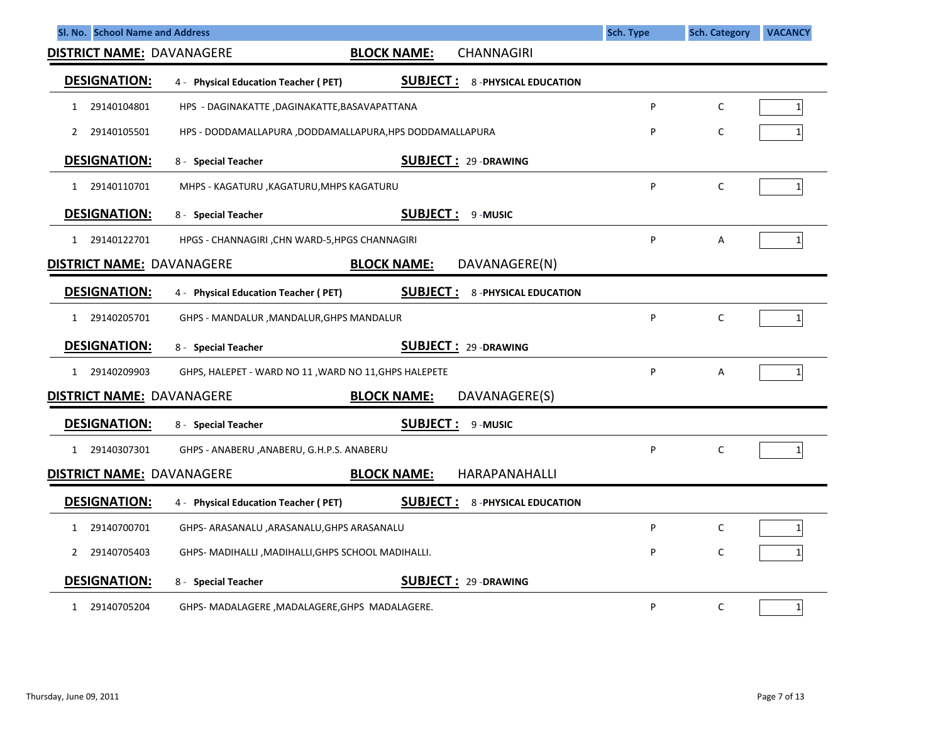| Sl. No. School Name and Address  |                                                         |                             | <b>Sch. Type</b> | <b>Sch. Category</b> | <b>VACANCY</b>  |
|----------------------------------|---------------------------------------------------------|-----------------------------|------------------|----------------------|-----------------|
| <b>DISTRICT NAME: DAVANAGERE</b> | <b>BLOCK NAME:</b>                                      | <b>CHANNAGIRI</b>           |                  |                      |                 |
| <b>DESIGNATION:</b>              | <b>SUBJECT:</b><br>4 - Physical Education Teacher (PET) | <b>8-PHYSICAL EDUCATION</b> |                  |                      |                 |
| 29140104801<br>1                 | HPS - DAGINAKATTE ,DAGINAKATTE,BASAVAPATTANA            |                             | P                | $\mathsf{C}$         | 1               |
| 29140105501<br>2                 | HPS - DODDAMALLAPURA ,DODDAMALLAPURA,HPS DODDAMALLAPURA |                             | P                | C                    | 1               |
| <b>DESIGNATION:</b>              | 8 - Special Teacher                                     | <b>SUBJECT: 29-DRAWING</b>  |                  |                      |                 |
| 29140110701<br>1                 | MHPS - KAGATURU, KAGATURU, MHPS KAGATURU                |                             | P                | C                    | $\mathbf{1}$    |
| <b>DESIGNATION:</b>              | <b>SUBJECT:</b><br>8 - Special Teacher                  | 9-MUSIC                     |                  |                      |                 |
| 1 29140122701                    | HPGS - CHANNAGIRI, CHN WARD-5, HPGS CHANNAGIRI          |                             | P                | A                    | $1\overline{ }$ |
| <b>DISTRICT NAME: DAVANAGERE</b> | <b>BLOCK NAME:</b>                                      | DAVANAGERE(N)               |                  |                      |                 |
| <b>DESIGNATION:</b>              | <b>SUBJECT:</b><br>4 - Physical Education Teacher (PET) | <b>8-PHYSICAL EDUCATION</b> |                  |                      |                 |
| 29140205701<br>1                 | GHPS - MANDALUR , MANDALUR, GHPS MANDALUR               |                             | P                | C                    | $\mathbf{1}$    |
| <b>DESIGNATION:</b>              | 8 - Special Teacher                                     | <b>SUBJECT: 29-DRAWING</b>  |                  |                      |                 |
| 1 29140209903                    | GHPS, HALEPET - WARD NO 11, WARD NO 11, GHPS HALEPETE   |                             | P                | Α                    | $\mathbf{1}$    |
| <b>DISTRICT NAME: DAVANAGERE</b> | <b>BLOCK NAME:</b>                                      | DAVANAGERE(S)               |                  |                      |                 |
| <b>DESIGNATION:</b>              | <b>SUBJECT:</b><br>8 - Special Teacher                  | 9-MUSIC                     |                  |                      |                 |
| 29140307301<br>$\mathbf{1}$      | GHPS - ANABERU , ANABERU, G.H.P.S. ANABERU              |                             | P                | C                    | 1               |
| <b>DISTRICT NAME: DAVANAGERE</b> | <b>BLOCK NAME:</b>                                      | HARAPANAHALLI               |                  |                      |                 |
| <b>DESIGNATION:</b>              | <b>SUBJECT:</b><br>4 - Physical Education Teacher (PET) | <b>8-PHYSICAL EDUCATION</b> |                  |                      |                 |
| 29140700701<br>1                 | GHPS- ARASANALU, ARASANALU, GHPS ARASANALU              |                             | P                | C                    | $\mathbf{1}$    |
| 29140705403<br>$\mathbf{2}$      | GHPS- MADIHALLI , MADIHALLI, GHPS SCHOOL MADIHALLI.     |                             | P                | C                    | 1               |
| <b>DESIGNATION:</b>              | 8 - Special Teacher                                     | <b>SUBJECT: 29-DRAWING</b>  |                  |                      |                 |
| 29140705204<br>1                 | GHPS- MADALAGERE , MADALAGERE, GHPS MADALAGERE.         |                             | P                | C                    | $\mathbf 1$     |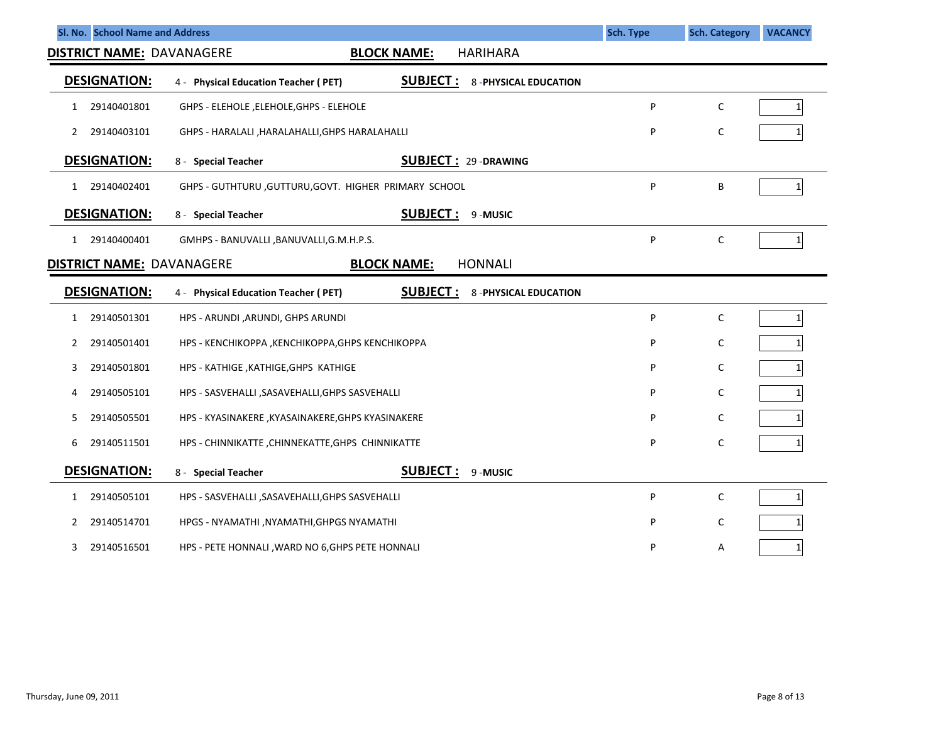| Sl. No. School Name and Address  |                                                                                        | <b>Sch. Type</b> | <b>Sch. Category</b><br><b>VACANCY</b> |
|----------------------------------|----------------------------------------------------------------------------------------|------------------|----------------------------------------|
| <b>DISTRICT NAME: DAVANAGERE</b> | <b>HARIHARA</b><br><b>BLOCK NAME:</b>                                                  |                  |                                        |
| <b>DESIGNATION:</b>              | <b>SUBJECT:</b><br>4 - Physical Education Teacher (PET)<br><b>8-PHYSICAL EDUCATION</b> |                  |                                        |
| 29140401801<br>1                 | GHPS - ELEHOLE, ELEHOLE, GHPS - ELEHOLE                                                | P                | C<br>$\mathbf{1}$                      |
| 29140403101<br>2                 | GHPS - HARALALI , HARALAHALLI, GHPS HARALAHALLI                                        | P                | С                                      |
| <b>DESIGNATION:</b>              | <b>SUBJECT: 29-DRAWING</b><br>8 - Special Teacher                                      |                  |                                        |
| 29140402401<br>1                 | GHPS - GUTHTURU, GUTTURU, GOVT. HIGHER PRIMARY SCHOOL                                  | P                | В<br>$\mathbf{1}$                      |
| <b>DESIGNATION:</b>              | <b>SUBJECT :</b><br>9-MUSIC<br>8 - Special Teacher                                     |                  |                                        |
| 29140400401<br>1                 | GMHPS - BANUVALLI, BANUVALLI, G.M.H.P.S.                                               | P                | C<br>$\mathbf{1}$                      |
| <b>DISTRICT NAME: DAVANAGERE</b> | <b>BLOCK NAME:</b><br><b>HONNALI</b>                                                   |                  |                                        |
| <b>DESIGNATION:</b>              | <b>SUBJECT:</b><br><b>8-PHYSICAL EDUCATION</b><br>4 - Physical Education Teacher (PET) |                  |                                        |
| 29140501301<br>1                 | HPS - ARUNDI , ARUNDI, GHPS ARUNDI                                                     | P                | C<br>$\mathbf{1}$                      |
| 29140501401<br>2                 | HPS - KENCHIKOPPA, KENCHIKOPPA, GHPS KENCHIKOPPA                                       | P                | C                                      |
| 29140501801<br>3                 | HPS - KATHIGE, KATHIGE, GHPS KATHIGE                                                   | P                | C                                      |
| 29140505101<br>4                 | HPS - SASVEHALLI , SASAVEHALLI, GHPS SASVEHALLI                                        | P                | C                                      |
| 29140505501<br>5                 | HPS - KYASINAKERE , KYASAINAKERE, GHPS KYASINAKERE                                     | P                | C                                      |
| 29140511501<br>6                 | HPS - CHINNIKATTE, CHINNEKATTE, GHPS CHINNIKATTE                                       | P                | C                                      |
| <b>DESIGNATION:</b>              | <b>SUBJECT :</b><br>8 - Special Teacher<br>9-MUSIC                                     |                  |                                        |
| 29140505101<br>1                 | HPS - SASVEHALLI , SASAVEHALLI, GHPS SASVEHALLI                                        | P                | C<br>$\mathbf{1}$                      |
| 29140514701<br>2                 | HPGS - NYAMATHI, NYAMATHI, GHPGS NYAMATHI                                              | P                | C                                      |
| 29140516501<br>3                 | HPS - PETE HONNALI, WARD NO 6, GHPS PETE HONNALI                                       | P                | Α<br>$\mathbf{1}$                      |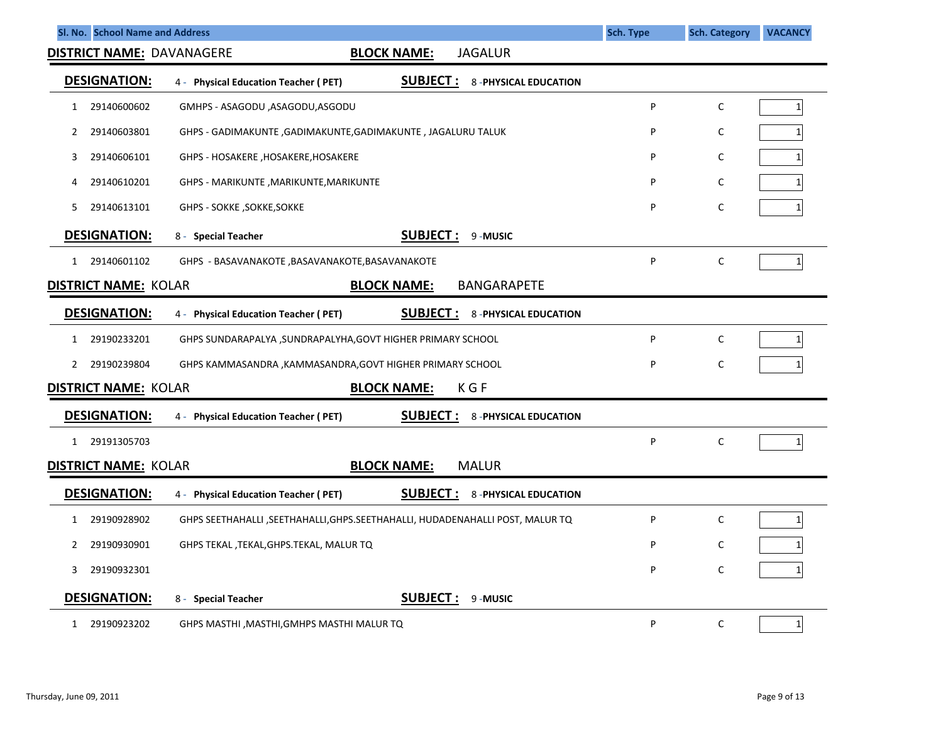| Sl. No. School Name and Address  |                                                                                 |                    |                             | <b>Sch. Type</b> | <b>Sch. Category</b> | <b>VACANCY</b> |
|----------------------------------|---------------------------------------------------------------------------------|--------------------|-----------------------------|------------------|----------------------|----------------|
| <b>DISTRICT NAME: DAVANAGERE</b> |                                                                                 | <b>BLOCK NAME:</b> | <b>JAGALUR</b>              |                  |                      |                |
| <b>DESIGNATION:</b>              | 4 - Physical Education Teacher (PET)                                            | <b>SUBJECT:</b>    | <b>8-PHYSICAL EDUCATION</b> |                  |                      |                |
| 29140600602<br>1                 | GMHPS - ASAGODU, ASAGODU, ASGODU                                                |                    |                             | P                | C                    | 1 <sup>1</sup> |
| 29140603801<br>2                 | GHPS - GADIMAKUNTE, GADIMAKUNTE, GADIMAKUNTE, JAGALURU TALUK                    |                    |                             | P                | C                    | $\mathbf{1}$   |
| 29140606101<br>3                 | GHPS - HOSAKERE, HOSAKERE, HOSAKERE                                             |                    |                             | P                | C                    | 1 <sup>1</sup> |
| 29140610201<br>4                 | GHPS - MARIKUNTE , MARIKUNTE, MARIKUNTE                                         |                    |                             | P                | C                    | 1 <sup>1</sup> |
| 29140613101<br>5.                | <b>GHPS - SOKKE, SOKKE, SOKKE</b>                                               |                    |                             | P                | $\mathsf{C}$         |                |
| <b>DESIGNATION:</b>              | 8 - Special Teacher                                                             | <b>SUBJECT:</b>    | 9-MUSIC                     |                  |                      |                |
| 1 29140601102                    | GHPS - BASAVANAKOTE , BASAVANAKOTE, BASAVANAKOTE                                |                    |                             | P                | $\mathsf{C}$         | 1 <sup>1</sup> |
| <b>DISTRICT NAME: KOLAR</b>      |                                                                                 | <b>BLOCK NAME:</b> | <b>BANGARAPETE</b>          |                  |                      |                |
| <b>DESIGNATION:</b>              | 4 - Physical Education Teacher (PET)                                            | <b>SUBJECT:</b>    | <b>8-PHYSICAL EDUCATION</b> |                  |                      |                |
| 29190233201<br>1                 | GHPS SUNDARAPALYA , SUNDRAPALYHA, GOVT HIGHER PRIMARY SCHOOL                    |                    |                             | P                | $\mathsf{C}$         | 1 <sup>1</sup> |
| 29190239804<br>2                 | GHPS KAMMASANDRA , KAMMASANDRA, GOVT HIGHER PRIMARY SCHOOL                      |                    |                             | P                | $\mathsf C$          | 1 <sup>1</sup> |
| <b>DISTRICT NAME: KOLAR</b>      |                                                                                 | <b>BLOCK NAME:</b> | K G F                       |                  |                      |                |
| <b>DESIGNATION:</b>              | 4 - Physical Education Teacher (PET)                                            | <b>SUBJECT :</b>   | <b>8-PHYSICAL EDUCATION</b> |                  |                      |                |
| 1 29191305703                    |                                                                                 |                    |                             | P                | $\mathsf{C}$         | $1\vert$       |
| <b>DISTRICT NAME: KOLAR</b>      |                                                                                 | <b>BLOCK NAME:</b> | <b>MALUR</b>                |                  |                      |                |
| <b>DESIGNATION:</b>              | 4 - Physical Education Teacher (PET)                                            | <b>SUBJECT:</b>    | <b>8-PHYSICAL EDUCATION</b> |                  |                      |                |
| 29190928902<br>1                 | GHPS SEETHAHALLI , SEETHAHALLI, GHPS. SEETHAHALLI, HUDADENAHALLI POST, MALUR TQ |                    |                             | P                | C                    | 1 <sup>1</sup> |
| 29190930901<br>2                 | GHPS TEKAL, TEKAL, GHPS. TEKAL, MALUR TQ                                        |                    |                             | P                | $\mathsf{C}$         | 11             |
| 29190932301<br>3                 |                                                                                 |                    |                             | P                | $\mathsf C$          | 1              |
| <b>DESIGNATION:</b>              | 8 - Special Teacher                                                             | <b>SUBJECT:</b>    | 9-MUSIC                     |                  |                      |                |
| 29190923202<br>$\mathbf{1}$      | GHPS MASTHI ,MASTHI,GMHPS MASTHI MALUR TQ                                       |                    |                             | P                | C                    | 1 <sup>1</sup> |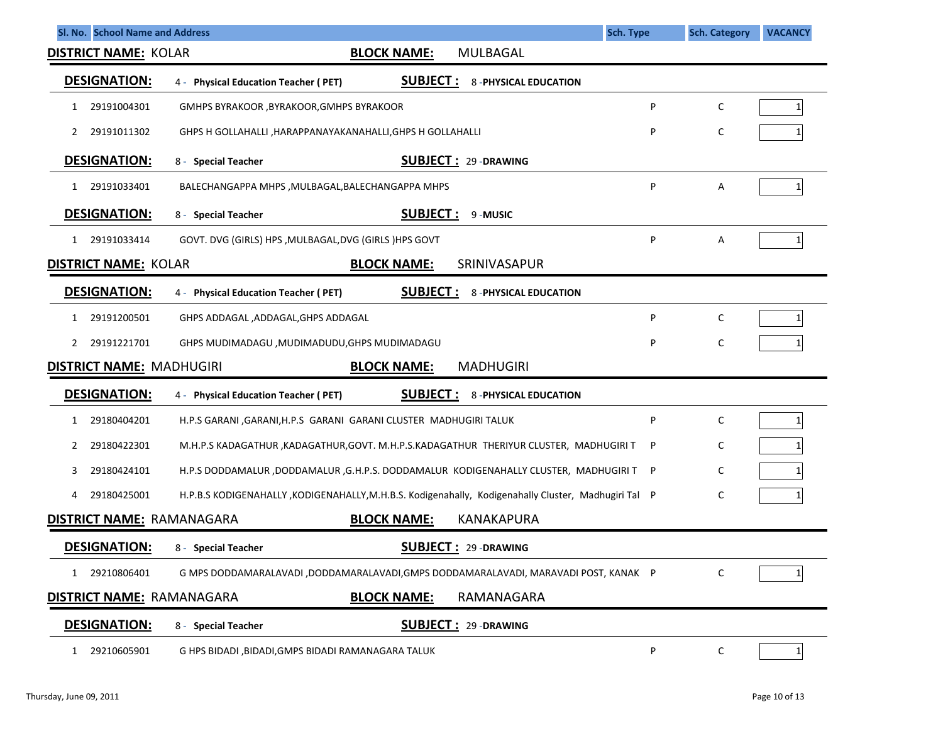| Sl. No. School Name and Address<br><b>Sch. Type</b>                                                                      |              | <b>Sch. Category</b> | <b>VACANCY</b> |
|--------------------------------------------------------------------------------------------------------------------------|--------------|----------------------|----------------|
| <b>DISTRICT NAME: KOLAR</b><br><b>BLOCK NAME:</b><br><b>MULBAGAL</b>                                                     |              |                      |                |
| <b>DESIGNATION:</b><br><b>SUBJECT:</b><br>4 - Physical Education Teacher (PET)<br><b>8-PHYSICAL EDUCATION</b>            |              |                      |                |
| 29191004301<br>GMHPS BYRAKOOR, BYRAKOOR, GMHPS BYRAKOOR<br>1                                                             | P            | C                    | 1              |
| 29191011302<br>GHPS H GOLLAHALLI, HARAPPANAYAKANAHALLI, GHPS H GOLLAHALLI<br>2                                           | P            | С                    |                |
| <b>DESIGNATION:</b><br><b>SUBJECT: 29-DRAWING</b><br>8 - Special Teacher                                                 |              |                      |                |
| 29191033401<br>BALECHANGAPPA MHPS, MULBAGAL, BALECHANGAPPA MHPS<br>1                                                     | P            | Α                    | $1\vert$       |
| <b>DESIGNATION:</b><br><b>SUBJECT:</b><br>9-MUSIC<br>8 - Special Teacher                                                 |              |                      |                |
| 29191033414<br>GOVT. DVG (GIRLS) HPS, MULBAGAL, DVG (GIRLS) HPS GOVT<br>1                                                | P            | Α                    | $1\vert$       |
| SRINIVASAPUR<br><b>DISTRICT NAME: KOLAR</b><br><b>BLOCK NAME:</b>                                                        |              |                      |                |
| <b>DESIGNATION:</b><br><b>SUBJECT:</b><br><b>8-PHYSICAL EDUCATION</b><br>4 - Physical Education Teacher (PET)            |              |                      |                |
| 29191200501<br>GHPS ADDAGAL, ADDAGAL, GHPS ADDAGAL<br>1                                                                  | P            | C                    | $\mathbf{1}$   |
| 29191221701<br>GHPS MUDIMADAGU , MUDIMADUDU, GHPS MUDIMADAGU<br>2                                                        | P            | C                    |                |
| <b>DISTRICT NAME: MADHUGIRI</b><br><b>BLOCK NAME:</b><br><b>MADHUGIRI</b>                                                |              |                      |                |
| <b>DESIGNATION:</b><br><b>SUBJECT:</b><br><b>8-PHYSICAL EDUCATION</b><br>4 - Physical Education Teacher (PET)            |              |                      |                |
| 29180404201<br>H.P.S GARANI , GARANI, H.P.S GARANI GARANI CLUSTER MADHUGIRI TALUK<br>1                                   | P            | C                    | 1              |
| 29180422301<br>M.H.P.S KADAGATHUR , KADAGATHUR, GOVT. M.H.P.S.KADAGATHUR THERIYUR CLUSTER, MADHUGIRI T<br>2              | P            | C                    |                |
| H.P.S DODDAMALUR ,DODDAMALUR ,G.H.P.S. DODDAMALUR KODIGENAHALLY CLUSTER, MADHUGIRI T<br>29180424101<br>3.                | $\mathsf{P}$ | C                    |                |
| H.P.B.S KODIGENAHALLY, KODIGENAHALLY, M.H.B.S. Kodigenahally, Kodigenahally Cluster, Madhugiri Tal P<br>29180425001<br>4 |              | С                    | 1              |
| <b>DISTRICT NAME: RAMANAGARA</b><br><b>BLOCK NAME:</b><br><b>KANAKAPURA</b>                                              |              |                      |                |
| <b>DESIGNATION:</b><br><b>SUBJECT: 29-DRAWING</b><br>8 - Special Teacher                                                 |              |                      |                |
| 29210806401<br>G MPS DODDAMARALAVADI ,DODDAMARALAVADI,GMPS DODDAMARALAVADI, MARAVADI POST, KANAK P<br>$\mathbf{1}$       |              | C                    | 1              |
| <b>DISTRICT NAME: RAMANAGARA</b><br><b>BLOCK NAME:</b><br>RAMANAGARA                                                     |              |                      |                |
| <b>DESIGNATION:</b><br><b>SUBJECT: 29-DRAWING</b><br>8 - Special Teacher                                                 |              |                      |                |
| 29210605901<br>G HPS BIDADI, BIDADI, GMPS BIDADI RAMANAGARA TALUK<br>1                                                   | P            | $\mathsf C$          | $1\vert$       |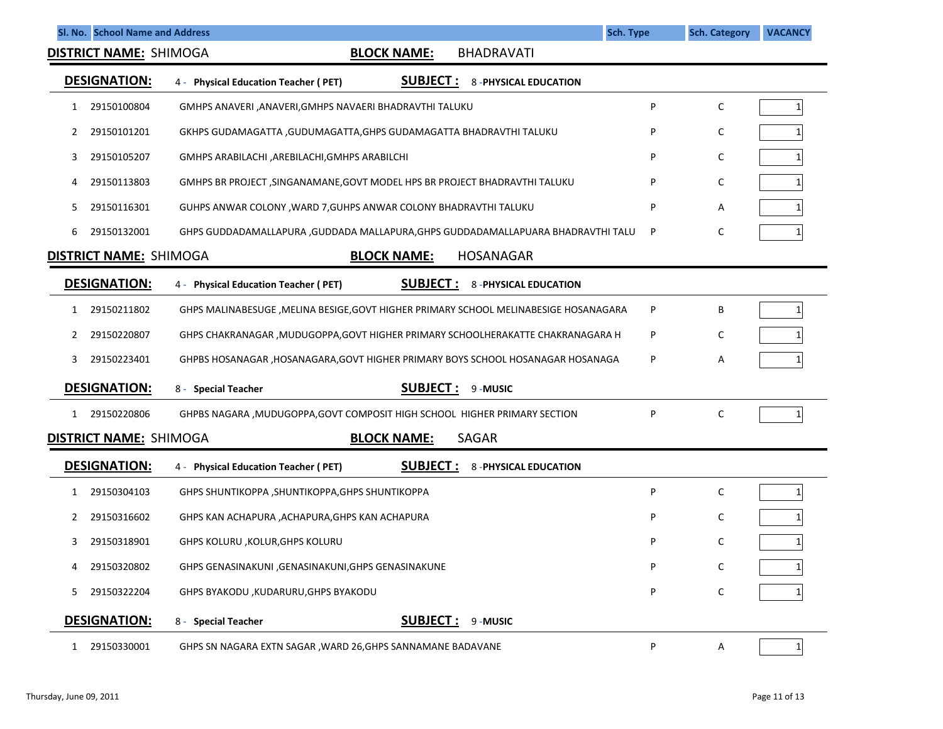|              | SI. No. School Name and Address |                                                                                        | <b>Sch. Type</b> | <b>Sch. Category</b> | <b>VACANCY</b> |
|--------------|---------------------------------|----------------------------------------------------------------------------------------|------------------|----------------------|----------------|
|              | <b>DISTRICT NAME: SHIMOGA</b>   | <b>BLOCK NAME:</b><br><b>BHADRAVATI</b>                                                |                  |                      |                |
|              | <b>DESIGNATION:</b>             | <b>SUBJECT:</b><br>4 - Physical Education Teacher (PET)<br><b>8-PHYSICAL EDUCATION</b> |                  |                      |                |
| 1            | 29150100804                     | GMHPS ANAVERI , ANAVERI, GMHPS NAVAERI BHADRAVTHI TALUKU                               | P                | C                    | $\mathbf{1}$   |
| 2            | 29150101201                     | GKHPS GUDAMAGATTA ,GUDUMAGATTA,GHPS GUDAMAGATTA BHADRAVTHI TALUKU                      | P                | C                    |                |
| 3            | 29150105207                     | GMHPS ARABILACHI , AREBILACHI, GMHPS ARABILCHI                                         | P                | C                    |                |
| 4            | 29150113803                     | GMHPS BR PROJECT, SINGANAMANE, GOVT MODEL HPS BR PROJECT BHADRAVTHI TALUKU             | P                | C                    |                |
| 5.           | 29150116301                     | GUHPS ANWAR COLONY, WARD 7, GUHPS ANWAR COLONY BHADRAVTHI TALUKU                       | P                | Α                    |                |
| 6            | 29150132001                     | GHPS GUDDADAMALLAPURA , GUDDADA MALLAPURA, GHPS GUDDADAMALLAPUARA BHADRAVTHI TALU      | P                | с                    |                |
|              | <b>DISTRICT NAME: SHIMOGA</b>   | <b>HOSANAGAR</b><br><b>BLOCK NAME:</b>                                                 |                  |                      |                |
|              | <b>DESIGNATION:</b>             | <b>SUBJECT:</b><br><b>8-PHYSICAL EDUCATION</b><br>4 - Physical Education Teacher (PET) |                  |                      |                |
| $\mathbf{1}$ | 29150211802                     | GHPS MALINABESUGE, MELINA BESIGE, GOVT HIGHER PRIMARY SCHOOL MELINABESIGE HOSANAGARA   | P                | В                    | $\mathbf{1}$   |
| 2            | 29150220807                     | GHPS CHAKRANAGAR, MUDUGOPPA, GOVT HIGHER PRIMARY SCHOOLHERAKATTE CHAKRANAGARA H        | P                | C                    |                |
| 3            | 29150223401                     | GHPBS HOSANAGAR, HOSANAGARA, GOVT HIGHER PRIMARY BOYS SCHOOL HOSANAGAR HOSANAGA        | P                | Α                    |                |
|              | <b>DESIGNATION:</b>             | <u>SUBJECT :</u><br>8 - Special Teacher<br>9-MUSIC                                     |                  |                      |                |
| 1            | 29150220806                     | GHPBS NAGARA , MUDUGOPPA, GOVT COMPOSIT HIGH SCHOOL HIGHER PRIMARY SECTION             | P                | C                    | $\mathbf{1}$   |
|              | <b>DISTRICT NAME: SHIMOGA</b>   | <b>BLOCK NAME:</b><br><b>SAGAR</b>                                                     |                  |                      |                |
|              | <b>DESIGNATION:</b>             | <b>SUBJECT:</b><br>4 - Physical Education Teacher (PET)<br><b>8-PHYSICAL EDUCATION</b> |                  |                      |                |
| 1            | 29150304103                     | <b>GHPS SHUNTIKOPPA, SHUNTIKOPPA, GHPS SHUNTIKOPPA</b>                                 | P                | C                    | $\mathbf{1}$   |
|              | 29150316602                     | GHPS KAN ACHAPURA , ACHAPURA, GHPS KAN ACHAPURA                                        | P                | с                    |                |
| 3            | 29150318901                     | GHPS KOLURU , KOLUR, GHPS KOLURU                                                       | P                | С                    |                |
| 4            | 29150320802                     | GHPS GENASINAKUNI , GENASINAKUNI, GHPS GENASINAKUNE                                    | P                | C                    |                |
| 5.           | 29150322204                     | GHPS BYAKODU , KUDARURU, GHPS BYAKODU                                                  | P                | С                    |                |
|              | <b>DESIGNATION:</b>             | <b>SUBJECT:</b><br>8 - Special Teacher<br>9-MUSIC                                      |                  |                      |                |
| 1            | 29150330001                     | GHPS SN NAGARA EXTN SAGAR , WARD 26, GHPS SANNAMANE BADAVANE                           | P                | A                    | $\mathbf{1}$   |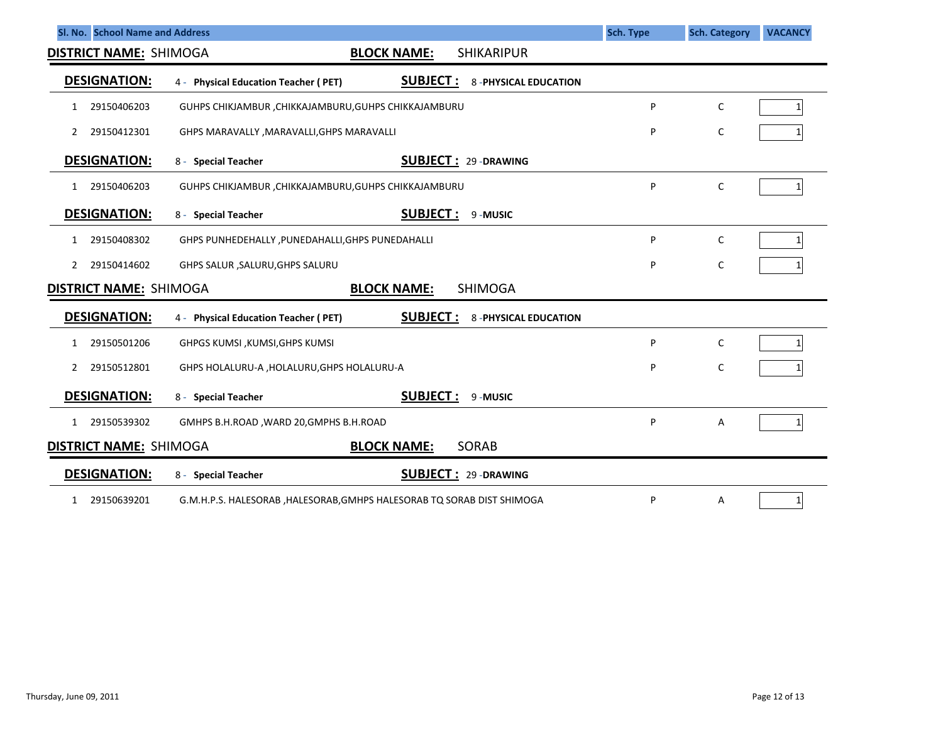| Sl. No. School Name and Address                                          |                                                                                        | <b>Sch. Type</b> | <b>Sch. Category</b> | <b>VACANCY</b> |  |  |  |  |
|--------------------------------------------------------------------------|----------------------------------------------------------------------------------------|------------------|----------------------|----------------|--|--|--|--|
| <b>DISTRICT NAME: SHIMOGA</b><br><b>SHIKARIPUR</b><br><b>BLOCK NAME:</b> |                                                                                        |                  |                      |                |  |  |  |  |
| <b>DESIGNATION:</b>                                                      | <b>SUBJECT:</b><br>4 - Physical Education Teacher (PET)<br><b>8-PHYSICAL EDUCATION</b> |                  |                      |                |  |  |  |  |
| 29150406203<br>1                                                         | GUHPS CHIKJAMBUR , CHIKKAJAMBURU, GUHPS CHIKKAJAMBURU                                  | P                | $\mathsf{C}$         | 1              |  |  |  |  |
| 29150412301                                                              | GHPS MARAVALLY, MARAVALLI, GHPS MARAVALLI                                              | P                | C                    |                |  |  |  |  |
| <b>DESIGNATION:</b>                                                      | <b>SUBJECT: 29-DRAWING</b><br>8 - Special Teacher                                      |                  |                      |                |  |  |  |  |
| 29150406203<br>1                                                         | GUHPS CHIKJAMBUR , CHIKKAJAMBURU, GUHPS CHIKKAJAMBURU                                  | P                | C                    | 1              |  |  |  |  |
| <b>DESIGNATION:</b>                                                      | <b>SUBJECT:</b><br>9-MUSIC<br>8 - Special Teacher                                      |                  |                      |                |  |  |  |  |
| 29150408302<br>1                                                         | GHPS PUNHEDEHALLY, PUNEDAHALLI, GHPS PUNEDAHALLI                                       | P                | C                    | 1              |  |  |  |  |
| 29150414602<br>2                                                         | GHPS SALUR , SALURU, GHPS SALURU                                                       | P                | $\mathsf C$          |                |  |  |  |  |
| <b>DISTRICT NAME: SHIMOGA</b>                                            | <b>SHIMOGA</b><br><b>BLOCK NAME:</b>                                                   |                  |                      |                |  |  |  |  |
| <b>DESIGNATION:</b>                                                      | <b>SUBJECT:</b><br><b>8-PHYSICAL EDUCATION</b><br>4 - Physical Education Teacher (PET) |                  |                      |                |  |  |  |  |
| 29150501206<br>1                                                         | GHPGS KUMSI, KUMSI, GHPS KUMSI                                                         | P                | $\mathsf{C}$         |                |  |  |  |  |
| 29150512801<br>2                                                         | GHPS HOLALURU-A , HOLALURU, GHPS HOLALURU-A                                            | P                | C                    |                |  |  |  |  |
| <b>DESIGNATION:</b>                                                      | <b>SUBJECT:</b><br>9-MUSIC<br>8 - Special Teacher                                      |                  |                      |                |  |  |  |  |
| 29150539302<br>1                                                         | GMHPS B.H.ROAD, WARD 20, GMPHS B.H.ROAD                                                | P                | Α                    |                |  |  |  |  |
| <b>DISTRICT NAME: SHIMOGA</b>                                            | SORAB<br><b>BLOCK NAME:</b>                                                            |                  |                      |                |  |  |  |  |
| <b>DESIGNATION:</b>                                                      | <b>SUBJECT: 29-DRAWING</b><br>8 - Special Teacher                                      |                  |                      |                |  |  |  |  |
| 29150639201<br>$\mathbf{1}$                                              | G.M.H.P.S. HALESORAB , HALESORAB, GMHPS HALESORAB TQ SORAB DIST SHIMOGA                | P                | A                    | $1\vert$       |  |  |  |  |